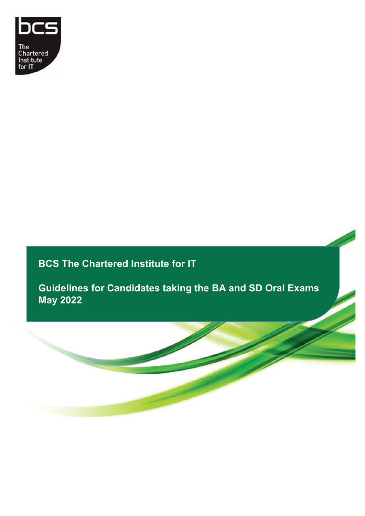

# **BCS The Chartered Institute for IT**

**Guidelines for Candidates taking the BA and SD Oral Exams May 2022**

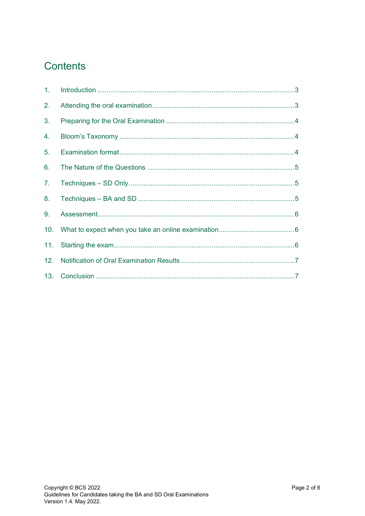# Contents

| 1. |  |
|----|--|
| 2. |  |
| 3. |  |
| 4. |  |
| 5. |  |
| 6. |  |
| 7. |  |
| 8. |  |
| 9. |  |
|    |  |
|    |  |
|    |  |
|    |  |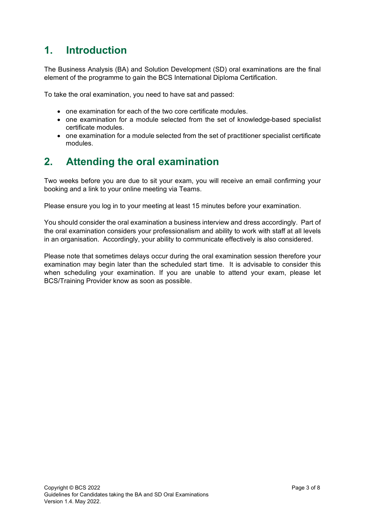#### <span id="page-2-0"></span>**1. Introduction**

The Business Analysis (BA) and Solution Development (SD) oral examinations are the final element of the programme to gain the BCS International Diploma Certification.

To take the oral examination, you need to have sat and passed:

- one examination for each of the two core certificate modules.
- one examination for a module selected from the set of knowledge-based specialist certificate modules.
- one examination for a module selected from the set of practitioner specialist certificate modules.

#### <span id="page-2-1"></span>**2. Attending the oral examination**

Two weeks before you are due to sit your exam, you will receive an email confirming your booking and a link to your online meeting via Teams.

Please ensure you log in to your meeting at least 15 minutes before your examination.

You should consider the oral examination a business interview and dress accordingly. Part of the oral examination considers your professionalism and ability to work with staff at all levels in an organisation. Accordingly, your ability to communicate effectively is also considered.

Please note that sometimes delays occur during the oral examination session therefore your examination may begin later than the scheduled start time. It is advisable to consider this when scheduling your examination. If you are unable to attend your exam, please let BCS/Training Provider know as soon as possible.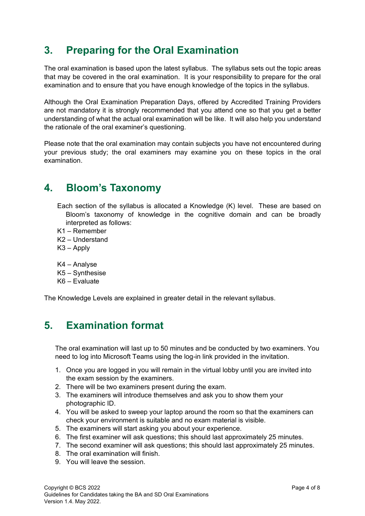### <span id="page-3-0"></span>**3. Preparing for the Oral Examination**

The oral examination is based upon the latest syllabus. The syllabus sets out the topic areas that may be covered in the oral examination. It is your responsibility to prepare for the oral examination and to ensure that you have enough knowledge of the topics in the syllabus.

Although the Oral Examination Preparation Days, offered by Accredited Training Providers are not mandatory it is strongly recommended that you attend one so that you get a better understanding of what the actual oral examination will be like. It will also help you understand the rationale of the oral examiner's questioning.

Please note that the oral examination may contain subjects you have not encountered during your previous study; the oral examiners may examine you on these topics in the oral examination.

#### <span id="page-3-1"></span>**4. Bloom's Taxonomy**

- Each section of the syllabus is allocated a Knowledge (K) level. These are based on Bloom's taxonomy of knowledge in the cognitive domain and can be broadly interpreted as follows:
- K1 Remember
- K2 Understand
- K3 Apply
- K4 Analyse
- K5 Synthesise
- K6 Evaluate

The Knowledge Levels are explained in greater detail in the relevant syllabus.

## <span id="page-3-2"></span>**5. Examination format**

The oral examination will last up to 50 minutes and be conducted by two examiners. You need to log into Microsoft Teams using the log-in link provided in the invitation.

- 1. Once you are logged in you will remain in the virtual lobby until you are invited into the exam session by the examiners.
- 2. There will be two examiners present during the exam.
- 3. The examiners will introduce themselves and ask you to show them your photographic ID.
- 4. You will be asked to sweep your laptop around the room so that the examiners can check your environment is suitable and no exam material is visible.
- 5. The examiners will start asking you about your experience.
- 6. The first examiner will ask questions; this should last approximately 25 minutes.
- 7. The second examiner will ask questions; this should last approximately 25 minutes.
- 8. The oral examination will finish.
- 9. You will leave the session.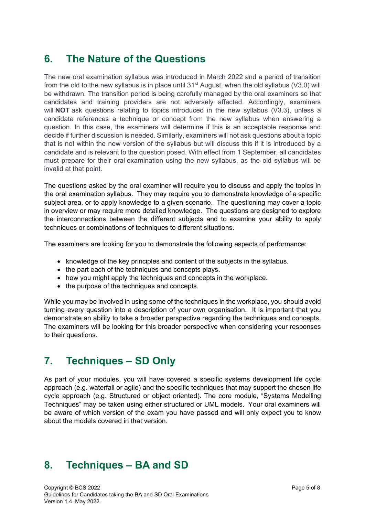## <span id="page-4-0"></span>**6. The Nature of the Questions**

The new oral examination syllabus was introduced in March 2022 and a period of transition from the old to the new syllabus is in place until  $31<sup>st</sup>$  August, when the old syllabus (V3.0) will be withdrawn. The transition period is being carefully managed by the oral examiners so that candidates and training providers are not adversely affected. Accordingly, examiners will **NOT** ask questions relating to topics introduced in the new syllabus (V3.3), unless a candidate references a technique or concept from the new syllabus when answering a question. In this case, the examiners will determine if this is an acceptable response and decide if further discussion is needed. Similarly, examiners will not ask questions about a topic that is not within the new version of the syllabus but will discuss this if it is introduced by a candidate and is relevant to the question posed. With effect from 1 September, all candidates must prepare for their oral examination using the new syllabus, as the old syllabus will be invalid at that point.

The questions asked by the oral examiner will require you to discuss and apply the topics in the oral examination syllabus. They may require you to demonstrate knowledge of a specific subject area, or to apply knowledge to a given scenario. The questioning may cover a topic in overview or may require more detailed knowledge. The questions are designed to explore the interconnections between the different subjects and to examine your ability to apply techniques or combinations of techniques to different situations.

The examiners are looking for you to demonstrate the following aspects of performance:

- knowledge of the key principles and content of the subjects in the syllabus.
- the part each of the techniques and concepts plays.
- how you might apply the techniques and concepts in the workplace.
- the purpose of the techniques and concepts.

While you may be involved in using some of the techniques in the workplace, you should avoid turning every question into a description of your own organisation. It is important that you demonstrate an ability to take a broader perspective regarding the techniques and concepts. The examiners will be looking for this broader perspective when considering your responses to their questions.

#### <span id="page-4-1"></span>**7. Techniques – SD Only**

As part of your modules, you will have covered a specific systems development life cycle approach (e.g. waterfall or agile) and the specific techniques that may support the chosen life cycle approach (e.g. Structured or object oriented). The core module, "Systems Modelling Techniques" may be taken using either structured or UML models. Your oral examiners will be aware of which version of the exam you have passed and will only expect you to know about the models covered in that version.

#### <span id="page-4-2"></span>**8. Techniques – BA and SD**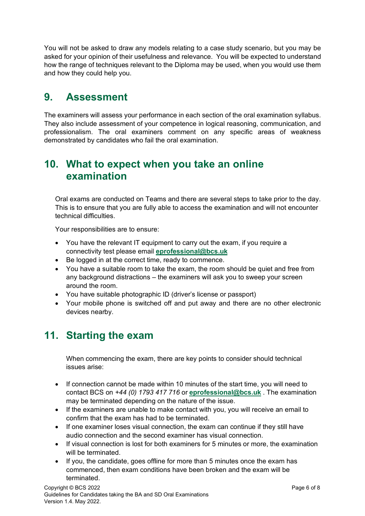You will not be asked to draw any models relating to a case study scenario, but you may be asked for your opinion of their usefulness and relevance. You will be expected to understand how the range of techniques relevant to the Diploma may be used, when you would use them and how they could help you.

#### <span id="page-5-0"></span>**9. Assessment**

The examiners will assess your performance in each section of the oral examination syllabus. They also include assessment of your competence in logical reasoning, communication, and professionalism. The oral examiners comment on any specific areas of weakness demonstrated by candidates who fail the oral examination.

#### <span id="page-5-1"></span>**10. What to expect when you take an online examination**

Oral exams are conducted on Teams and there are several steps to take prior to the day. This is to ensure that you are fully able to access the examination and will not encounter technical difficulties.

Your responsibilities are to ensure:

- You have the relevant IT equipment to carry out the exam, if you require a connectivity test please email **eprofessional@bcs.uk**
- Be logged in at the correct time, ready to commence.
- You have a suitable room to take the exam, the room should be quiet and free from any background distractions – the examiners will ask you to sweep your screen around the room.
- You have suitable photographic ID (driver's license or passport)
- Your mobile phone is switched off and put away and there are no other electronic devices nearby.

#### <span id="page-5-2"></span>**11. Starting the exam**

When commencing the exam, there are key points to consider should technical issues arise:

- If connection cannot be made within 10 minutes of the start time, you will need to contact BCS on *+44 (0) 1793 417 716* or **eprofessional@bcs.uk** . The examination may be terminated depending on the nature of the issue.
- If the examiners are unable to make contact with you, you will receive an email to confirm that the exam has had to be terminated.
- If one examiner loses visual connection, the exam can continue if they still have audio connection and the second examiner has visual connection.
- If visual connection is lost for both examiners for 5 minutes or more, the examination will be terminated.
- If you, the candidate, goes offline for more than 5 minutes once the exam has commenced, then exam conditions have been broken and the exam will be terminated.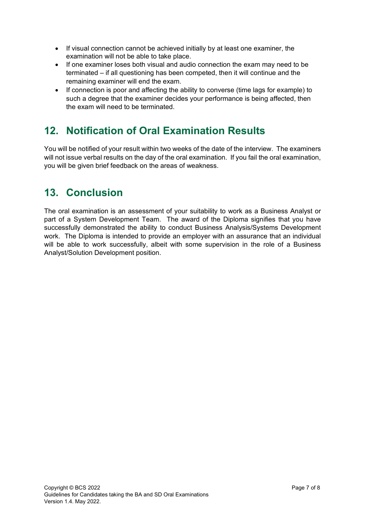- If visual connection cannot be achieved initially by at least one examiner, the examination will not be able to take place.
- If one examiner loses both visual and audio connection the exam may need to be terminated – if all questioning has been competed, then it will continue and the remaining examiner will end the exam.
- If connection is poor and affecting the ability to converse (time lags for example) to such a degree that the examiner decides your performance is being affected, then the exam will need to be terminated.

# <span id="page-6-0"></span>**12. Notification of Oral Examination Results**

You will be notified of your result within two weeks of the date of the interview. The examiners will not issue verbal results on the day of the oral examination. If you fail the oral examination, you will be given brief feedback on the areas of weakness.

## <span id="page-6-1"></span>**13. Conclusion**

The oral examination is an assessment of your suitability to work as a Business Analyst or part of a System Development Team. The award of the Diploma signifies that you have successfully demonstrated the ability to conduct Business Analysis/Systems Development work. The Diploma is intended to provide an employer with an assurance that an individual will be able to work successfully, albeit with some supervision in the role of a Business Analyst/Solution Development position.